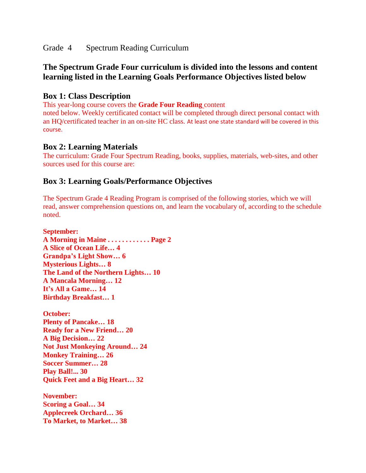Grade 4 Spectrum Reading Curriculum

# **The Spectrum Grade Four curriculum is divided into the lessons and content learning listed in the Learning Goals Performance Objectives listed below**

### **Box 1: Class Description**

This year-long course covers the **Grade Four Reading** content

noted below. Weekly certificated contact will be completed through direct personal contact with an HQ/certificated teacher in an on-site HC class. At least one state standard will be covered in this course.

### **Box 2: Learning Materials**

The curriculum: Grade Four Spectrum Reading, books, supplies, materials, web-sites, and other sources used for this course are:

## **Box 3: Learning Goals/Performance Objectives**

The Spectrum Grade 4 Reading Program is comprised of the following stories, which we will read, answer comprehension questions on, and learn the vocabulary of, according to the schedule noted.

**September: A Morning in Maine . . . . . . . . . . . . Page 2 A Slice of Ocean Life… 4 Grandpa's Light Show… 6 Mysterious Lights… 8 The Land of the Northern Lights… 10 A Mancala Morning… 12 It's All a Game… 14 Birthday Breakfast… 1 October: Plenty of Pancake… 18 Ready for a New Friend… 20 A Big Decision… 22 Not Just Monkeying Around… 24 Monkey Training… 26 Soccer Summer… 28 Play Ball!... 30 Quick Feet and a Big Heart… 32 November: Scoring a Goal… 34 Applecreek Orchard… 36 To Market, to Market… 38**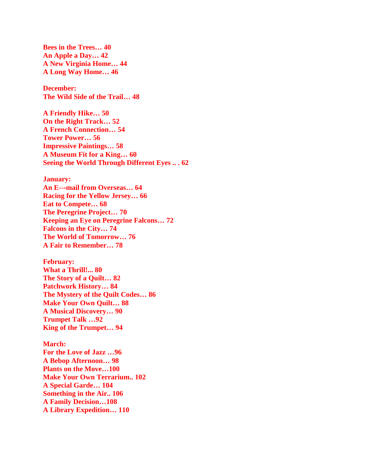**Bees in the Trees… 40 An Apple a Day… 42 A New Virginia Home… 44 A Long Way Home… 46**

**December: The Wild Side of the Trail… 48**

**A Friendly Hike… 50 On the Right Track… 52 A French Connection… 54 Tower Power… 56 Impressive Paintings… 58 A Museum Fit for a King… 60 Seeing the World Through Different Eyes .. . 62**

#### **January:**

**An E--**‐**mail from Overseas… 64 Racing for the Yellow Jersey… 66 Eat to Compete… 68 The Peregrine Project… 70 Keeping an Eye on Peregrine Falcons… 72 Falcons in the City… 74 The World of Tomorrow… 76 A Fair to Remember… 78**

**February: What a Thrill!... 80 The Story of a Quilt… 82 Patchwork History… 84 The Mystery of the Quilt Codes… 86 Make Your Own Quilt… 88 A Musical Discovery… 90 Trumpet Talk …92 King of the Trumpet… 94**

**March: For the Love of Jazz …96 A Bebop Afternoon… 98 Plants on the Move…100 Make Your Own Terrarium.. 102 A Special Garde… 104 Something in the Air.. 106 A Family Decision…108 A Library Expedition… 110**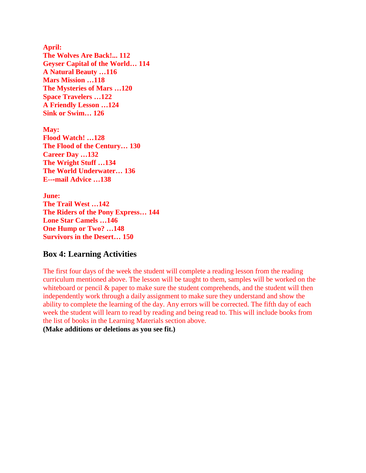**April: The Wolves Are Back!... 112 Geyser Capital of the World… 114 A Natural Beauty …116 Mars Mission …118 The Mysteries of Mars …120 Space Travelers …122 A Friendly Lesson …124 Sink or Swim… 126**

**May: Flood Watch! …128 The Flood of the Century… 130 Career Day …132 The Wright Stuff …134 The World Underwater… 136 E--**‐**mail Advice …138**

**June: The Trail West …142 The Riders of the Pony Express… 144 Lone Star Camels …146 One Hump or Two? …148 Survivors in the Desert… 150**

### **Box 4: Learning Activities**

The first four days of the week the student will complete a reading lesson from the reading curriculum mentioned above. The lesson will be taught to them, samples will be worked on the whiteboard or pencil  $\&$  paper to make sure the student comprehends, and the student will then independently work through a daily assignment to make sure they understand and show the ability to complete the learning of the day. Any errors will be corrected. The fifth day of each week the student will learn to read by reading and being read to. This will include books from the list of books in the Learning Materials section above.

**(Make additions or deletions as you see fit.)**